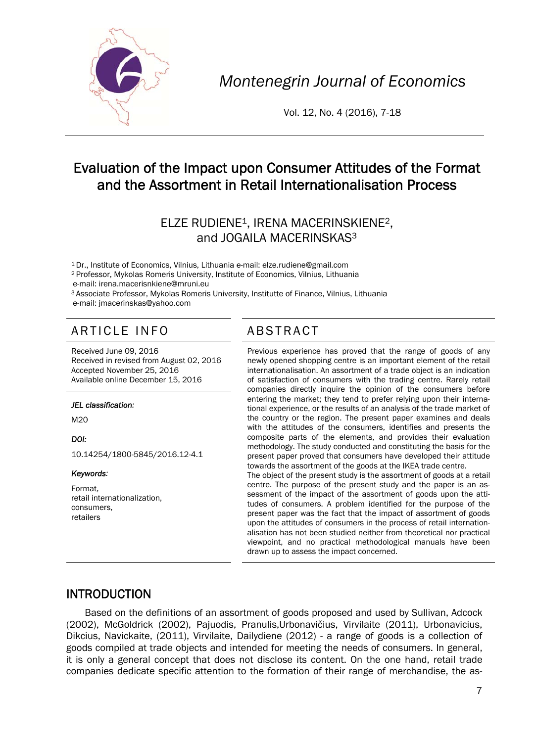

*Montenegrin Journal of Economics* 

Vol. 12, No. 4 (2016), 7-18

# Evaluation of the Impact upon Consumer Attitudes of the Format and the Assortment in Retail Internationalisation Process

## ELZE RUDIENE1, IRENA MACERINSKIENE2, and JOGAILA MACERINSKAS3

1 Dr., Institute of Economics, Vilnius, Lithuania e-mail: elze.rudiene@gmail.com

2 Professor, Mykolas Romeris University, Institute of Economics, Vilnius, Lithuania

e-mail: irena.macerisnkiene@mruni.eu<br><sup>3</sup> Associate Professor, Mykolas Romeris University, Institutte of Finance, Vilnius, Lithuania e-mail: jmacerinskas@yahoo.com

# ARTICLE INFO ABSTRACT

Received June 09, 2016 Received in revised from August 02, 2016 Accepted November 25, 2016 Available online December 15, 2016

#### *JEL classification:*

M20

*DOI:* 

10.14254/1800-5845/2016.12-4.1

#### *Keywords:*

Format, retail internationalization, consumers, retailers

 Previous experience has proved that the range of goods of any newly opened shopping centre is an important element of the retail internationalisation. An assortment of a trade object is an indication of satisfaction of consumers with the trading centre. Rarely retail companies directly inquire the opinion of the consumers before entering the market; they tend to prefer relying upon their international experience, or the results of an analysis of the trade market of the country or the region. The present paper examines and deals with the attitudes of the consumers, identifies and presents the composite parts of the elements, and provides their evaluation methodology. The study conducted and constituting the basis for the present paper proved that consumers have developed their attitude towards the assortment of the goods at the IKEA trade centre. The object of the present study is the assortment of goods at a retail centre. The purpose of the present study and the paper is an assessment of the impact of the assortment of goods upon the attitudes of consumers. A problem identified for the purpose of the present paper was the fact that the impact of assortment of goods upon the attitudes of consumers in the process of retail internationalisation has not been studied neither from theoretical nor practical viewpoint, and no practical methodological manuals have been drawn up to assess the impact concerned.

#### INTRODUCTION

Based on the definitions of an assortment of goods proposed and used by Sullivan, Adcock (2002), McGoldrick (2002), Pajuodis, Pranulis,Urbonavičius, Virvilaite (2011), Urbonavicius, Dikcius, Navickaite, (2011), Virvilaite, Dailydiene (2012) - a range of goods is a collection of goods compiled at trade objects and intended for meeting the needs of consumers. In general, it is only a general concept that does not disclose its content. On the one hand, retail trade companies dedicate specific attention to the formation of their range of merchandise, the as-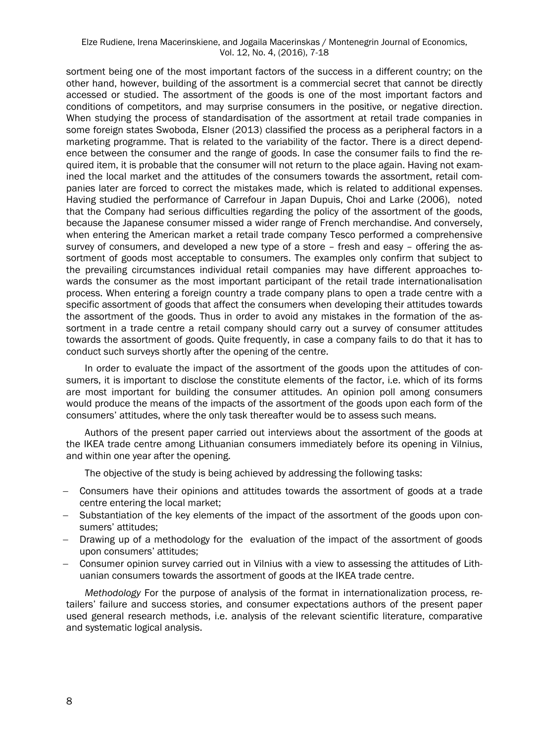#### Elze Rudiene, Irena Macerinskiene, and Jogaila Macerinskas / Montenegrin Journal of Economics, Vol. 12, No. 4, (2016), 7-18

sortment being one of the most important factors of the success in a different country; on the other hand, however, building of the assortment is a commercial secret that cannot be directly accessed or studied. The assortment of the goods is one of the most important factors and conditions of competitors, and may surprise consumers in the positive, or negative direction. When studying the process of standardisation of the assortment at retail trade companies in some foreign states Swoboda, Elsner (2013) classified the process as a peripheral factors in a marketing programme. That is related to the variability of the factor. There is a direct dependence between the consumer and the range of goods. In case the consumer fails to find the required item, it is probable that the consumer will not return to the place again. Having not examined the local market and the attitudes of the consumers towards the assortment, retail companies later are forced to correct the mistakes made, which is related to additional expenses. Having studied the performance of Carrefour in Japan Dupuis, Choi and Larke (2006), noted that the Company had serious difficulties regarding the policy of the assortment of the goods, because the Japanese consumer missed a wider range of French merchandise. And conversely, when entering the American market a retail trade company Tesco performed a comprehensive survey of consumers, and developed a new type of a store – fresh and easy – offering the assortment of goods most acceptable to consumers. The examples only confirm that subject to the prevailing circumstances individual retail companies may have different approaches towards the consumer as the most important participant of the retail trade internationalisation process. When entering a foreign country a trade company plans to open a trade centre with a specific assortment of goods that affect the consumers when developing their attitudes towards the assortment of the goods. Thus in order to avoid any mistakes in the formation of the assortment in a trade centre a retail company should carry out a survey of consumer attitudes towards the assortment of goods. Quite frequently, in case a company fails to do that it has to conduct such surveys shortly after the opening of the centre.

In order to evaluate the impact of the assortment of the goods upon the attitudes of consumers, it is important to disclose the constitute elements of the factor, i.e. which of its forms are most important for building the consumer attitudes. An opinion poll among consumers would produce the means of the impacts of the assortment of the goods upon each form of the consumers' attitudes, where the only task thereafter would be to assess such means.

Authors of the present paper carried out interviews about the assortment of the goods at the IKEA trade centre among Lithuanian consumers immediately before its opening in Vilnius, and within one year after the opening.

The objective of the study is being achieved by addressing the following tasks:

- Consumers have their opinions and attitudes towards the assortment of goods at a trade centre entering the local market;
- Substantiation of the key elements of the impact of the assortment of the goods upon consumers' attitudes;
- Drawing up of a methodology for the evaluation of the impact of the assortment of goods upon consumers' attitudes;
- Consumer opinion survey carried out in Vilnius with a view to assessing the attitudes of Lithuanian consumers towards the assortment of goods at the IKEA trade centre.

*Methodology* For the purpose of analysis of the format in internationalization process, retailers' failure and success stories, and consumer expectations authors of the present paper used general research methods, i.e. analysis of the relevant scientific literature, comparative and systematic logical analysis.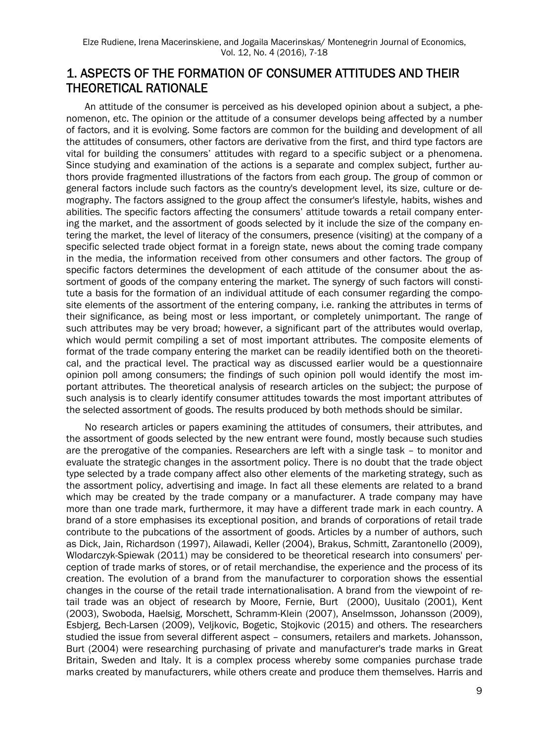## 1. ASPECTS OF THE FORMATION OF CONSUMER ATTITUDES AND THEIR THEORETICAL RATIONALE

An attitude of the consumer is perceived as his developed opinion about a subject, a phenomenon, etc. The opinion or the attitude of a consumer develops being affected by a number of factors, and it is evolving. Some factors are common for the building and development of all the attitudes of consumers, other factors are derivative from the first, and third type factors are vital for building the consumers' attitudes with regard to a specific subject or a phenomena. Since studying and examination of the actions is a separate and complex subject, further authors provide fragmented illustrations of the factors from each group. The group of common or general factors include such factors as the country's development level, its size, culture or demography. The factors assigned to the group affect the consumer's lifestyle, habits, wishes and abilities. The specific factors affecting the consumers' attitude towards a retail company entering the market, and the assortment of goods selected by it include the size of the company entering the market, the level of literacy of the consumers, presence (visiting) at the company of a specific selected trade object format in a foreign state, news about the coming trade company in the media, the information received from other consumers and other factors. The group of specific factors determines the development of each attitude of the consumer about the assortment of goods of the company entering the market. The synergy of such factors will constitute a basis for the formation of an individual attitude of each consumer regarding the composite elements of the assortment of the entering company, i.e. ranking the attributes in terms of their significance, as being most or less important, or completely unimportant. The range of such attributes may be very broad; however, a significant part of the attributes would overlap, which would permit compiling a set of most important attributes. The composite elements of format of the trade company entering the market can be readily identified both on the theoretical, and the practical level. The practical way as discussed earlier would be a questionnaire opinion poll among consumers; the findings of such opinion poll would identify the most important attributes. The theoretical analysis of research articles on the subject; the purpose of such analysis is to clearly identify consumer attitudes towards the most important attributes of the selected assortment of goods. The results produced by both methods should be similar.

No research articles or papers examining the attitudes of consumers, their attributes, and the assortment of goods selected by the new entrant were found, mostly because such studies are the prerogative of the companies. Researchers are left with a single task – to monitor and evaluate the strategic changes in the assortment policy. There is no doubt that the trade object type selected by a trade company affect also other elements of the marketing strategy, such as the assortment policy, advertising and image. In fact all these elements are related to a brand which may be created by the trade company or a manufacturer. A trade company may have more than one trade mark, furthermore, it may have a different trade mark in each country. A brand of a store emphasises its exceptional position, and brands of corporations of retail trade contribute to the pubcations of the assortment of goods. Articles by a number of authors, such as Dick, Jain, Richardson (1997), Ailawadi, Keller (2004), Brakus, Schmitt, Zarantonello (2009), Wlodarczyk-Spiewak (2011) may be considered to be theoretical research into consumers' perception of trade marks of stores, or of retail merchandise, the experience and the process of its creation. The evolution of a brand from the manufacturer to corporation shows the essential changes in the course of the retail trade internationalisation. A brand from the viewpoint of retail trade was an object of research by Moore, Fernie, Burt (2000), Uusitalo (2001), Kent (2003), Swoboda, Haelsig, Morschett, Schramm-Klein (2007), Anselmsson, Johansson (2009), Esbjerg, Bech-Larsen (2009), Veljkovic, Bogetic, Stojkovic (2015) and others. The researchers studied the issue from several different aspect – consumers, retailers and markets. Johansson, Burt (2004) were researching purchasing of private and manufacturer's trade marks in Great Britain, Sweden and Italy. It is a complex process whereby some companies purchase trade marks created by manufacturers, while others create and produce them themselves. Harris and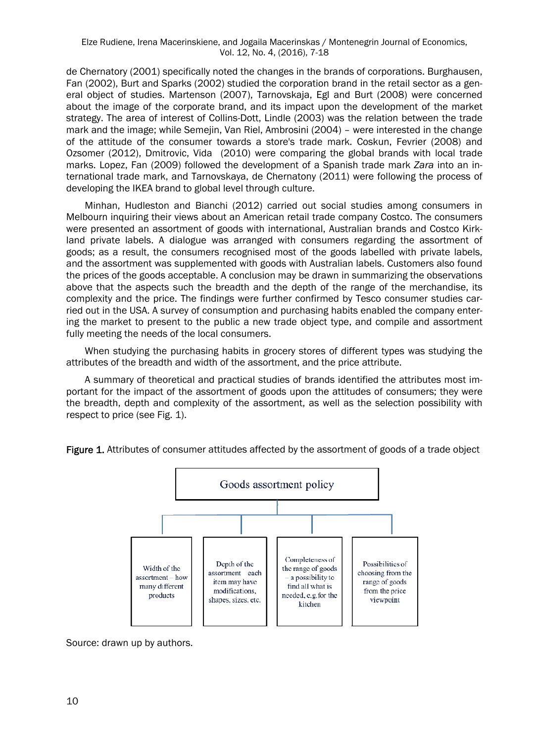de Chernatory (2001) specifically noted the changes in the brands of corporations. Burghausen, Fan (2002), Burt and Sparks (2002) studied the corporation brand in the retail sector as a general object of studies. Martenson (2007), Tarnovskaja, Egl and Burt (2008) were concerned about the image of the corporate brand, and its impact upon the development of the market strategy. The area of interest of Collins-Dott, Lindle (2003) was the relation between the trade mark and the image; while Semejin, Van Riel, Ambrosini (2004) – were interested in the change of the attitude of the consumer towards a store's trade mark. Coskun, Fevrier (2008) and Ozsomer (2012), Dmitrovic, Vida (2010) were comparing the global brands with local trade marks. Lopez, Fan (2009) followed the development of a Spanish trade mark *Zara* into an international trade mark, and Tarnovskaya, de Chernatony (2011) were following the process of developing the IKEA brand to global level through culture.

Minhan, Hudleston and Bianchi (2012) carried out social studies among consumers in Melbourn inquiring their views about an American retail trade company Costco. The consumers were presented an assortment of goods with international, Australian brands and Costco Kirkland private labels. A dialogue was arranged with consumers regarding the assortment of goods; as a result, the consumers recognised most of the goods labelled with private labels, and the assortment was supplemented with goods with Australian labels. Customers also found the prices of the goods acceptable. A conclusion may be drawn in summarizing the observations above that the aspects such the breadth and the depth of the range of the merchandise, its complexity and the price. The findings were further confirmed by Tesco consumer studies carried out in the USA. A survey of consumption and purchasing habits enabled the company entering the market to present to the public a new trade object type, and compile and assortment fully meeting the needs of the local consumers.

When studying the purchasing habits in grocery stores of different types was studying the attributes of the breadth and width of the assortment, and the price attribute.

A summary of theoretical and practical studies of brands identified the attributes most important for the impact of the assortment of goods upon the attitudes of consumers; they were the breadth, depth and complexity of the assortment, as well as the selection possibility with respect to price (see Fig. 1).



Figure 1. Attributes of consumer attitudes affected by the assortment of goods of a trade object

Source: drawn up by authors.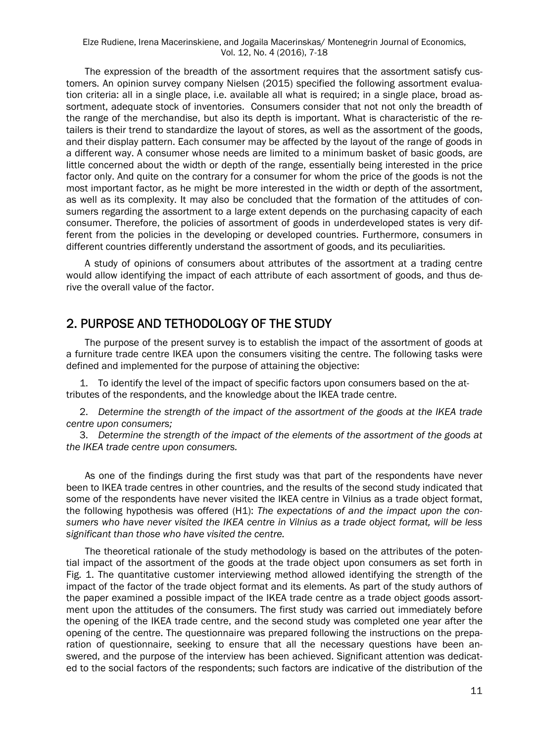The expression of the breadth of the assortment requires that the assortment satisfy customers. An opinion survey company Nielsen (2015) specified the following assortment evaluation criteria: all in a single place, i.e. available all what is required; in a single place, broad assortment, adequate stock of inventories. Consumers consider that not not only the breadth of the range of the merchandise, but also its depth is important. What is characteristic of the retailers is their trend to standardize the layout of stores, as well as the assortment of the goods, and their display pattern. Each consumer may be affected by the layout of the range of goods in a different way. A consumer whose needs are limited to a minimum basket of basic goods, are little concerned about the width or depth of the range, essentially being interested in the price factor only. And quite on the contrary for a consumer for whom the price of the goods is not the most important factor, as he might be more interested in the width or depth of the assortment, as well as its complexity. It may also be concluded that the formation of the attitudes of consumers regarding the assortment to a large extent depends on the purchasing capacity of each consumer. Therefore, the policies of assortment of goods in underdeveloped states is very different from the policies in the developing or developed countries. Furthermore, consumers in different countries differently understand the assortment of goods, and its peculiarities.

A study of opinions of consumers about attributes of the assortment at a trading centre would allow identifying the impact of each attribute of each assortment of goods, and thus derive the overall value of the factor.

#### 2. PURPOSE AND TETHODOLOGY OF THE STUDY

The purpose of the present survey is to establish the impact of the assortment of goods at a furniture trade centre IKEA upon the consumers visiting the centre. The following tasks were defined and implemented for the purpose of attaining the objective:

1. To identify the level of the impact of specific factors upon consumers based on the attributes of the respondents, and the knowledge about the IKEA trade centre.

2. *Determine the strength of the impact of the assortment of the goods at the IKEA trade centre upon consumers;*

3. *Determine the strength of the impact of the elements of the assortment of the goods at the IKEA trade centre upon consumers.*

As one of the findings during the first study was that part of the respondents have never been to IKEA trade centres in other countries, and the results of the second study indicated that some of the respondents have never visited the IKEA centre in Vilnius as a trade object format, the following hypothesis was offered (H1): *The expectations of and the impact upon the consumers who have never visited the IKEA centre in Vilnius as a trade object format, will be less significant than those who have visited the centre.* 

The theoretical rationale of the study methodology is based on the attributes of the potential impact of the assortment of the goods at the trade object upon consumers as set forth in Fig. 1. The quantitative customer interviewing method allowed identifying the strength of the impact of the factor of the trade object format and its elements. As part of the study authors of the paper examined a possible impact of the IKEA trade centre as a trade object goods assortment upon the attitudes of the consumers. The first study was carried out immediately before the opening of the IKEA trade centre, and the second study was completed one year after the opening of the centre. The questionnaire was prepared following the instructions on the preparation of questionnaire, seeking to ensure that all the necessary questions have been answered, and the purpose of the interview has been achieved. Significant attention was dedicated to the social factors of the respondents; such factors are indicative of the distribution of the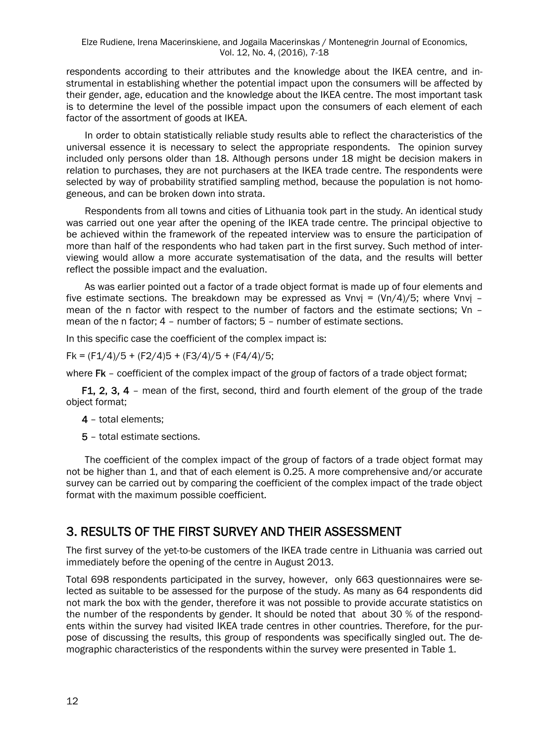respondents according to their attributes and the knowledge about the IKEA centre, and instrumental in establishing whether the potential impact upon the consumers will be affected by their gender, age, education and the knowledge about the IKEA centre. The most important task is to determine the level of the possible impact upon the consumers of each element of each factor of the assortment of goods at IKEA.

In order to obtain statistically reliable study results able to reflect the characteristics of the universal essence it is necessary to select the appropriate respondents. The opinion survey included only persons older than 18. Although persons under 18 might be decision makers in relation to purchases, they are not purchasers at the IKEA trade centre. The respondents were selected by way of probability stratified sampling method, because the population is not homogeneous, and can be broken down into strata.

Respondents from all towns and cities of Lithuania took part in the study. An identical study was carried out one year after the opening of the IKEA trade centre. The principal objective to be achieved within the framework of the repeated interview was to ensure the participation of more than half of the respondents who had taken part in the first survey. Such method of interviewing would allow a more accurate systematisation of the data, and the results will better reflect the possible impact and the evaluation.

As was earlier pointed out a factor of a trade object format is made up of four elements and five estimate sections. The breakdown may be expressed as Vnvi =  $(Vn/4)/5$ ; where Vnvi mean of the n factor with respect to the number of factors and the estimate sections; Vn – mean of the n factor; 4 – number of factors; 5 – number of estimate sections.

In this specific case the coefficient of the complex impact is:

 $FK = (F1/4)/5 + (F2/4)5 + (F3/4)/5 + (F4/4)/5$ ;

where  $FK$  – coefficient of the complex impact of the group of factors of a trade object format;

F1, 2, 3, 4 - mean of the first, second, third and fourth element of the group of the trade object format;

- 4 total elements;
- 5 total estimate sections.

The coefficient of the complex impact of the group of factors of a trade object format may not be higher than 1, and that of each element is 0.25. A more comprehensive and/or accurate survey can be carried out by comparing the coefficient of the complex impact of the trade object format with the maximum possible coefficient.

## 3. RESULTS OF THE FIRST SURVEY AND THEIR ASSESSMENT

The first survey of the yet-to-be customers of the IKEA trade centre in Lithuania was carried out immediately before the opening of the centre in August 2013.

Total 698 respondents participated in the survey, however, only 663 questionnaires were selected as suitable to be assessed for the purpose of the study. As many as 64 respondents did not mark the box with the gender, therefore it was not possible to provide accurate statistics on the number of the respondents by gender. It should be noted that about 30 % of the respondents within the survey had visited IKEA trade centres in other countries. Therefore, for the purpose of discussing the results, this group of respondents was specifically singled out. The demographic characteristics of the respondents within the survey were presented in Table 1.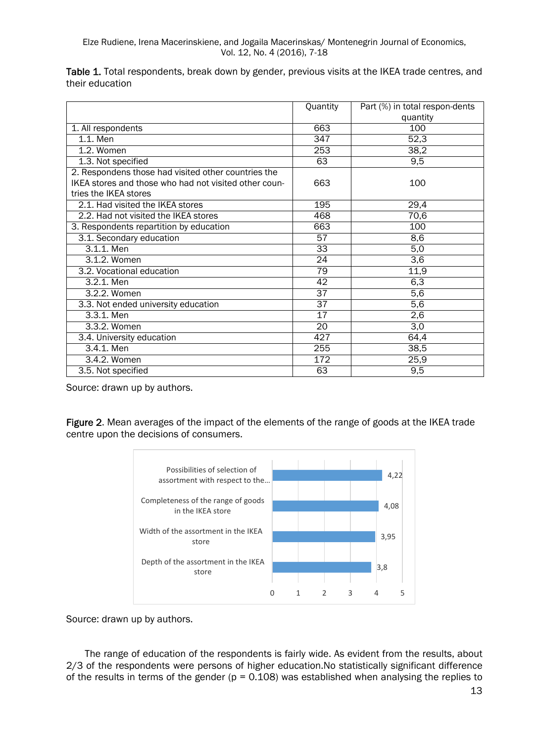|                 |  |  |  | Table 1. Total respondents, break down by gender, previous visits at the IKEA trade centres, and |  |
|-----------------|--|--|--|--------------------------------------------------------------------------------------------------|--|
| their education |  |  |  |                                                                                                  |  |

|                                                       | Quantity        | Part (%) in total respon-dents |
|-------------------------------------------------------|-----------------|--------------------------------|
|                                                       |                 | quantity                       |
| 1. All respondents                                    | 663             | 100                            |
| 1.1. Men                                              | 347             | 52,3                           |
| 1.2. Women                                            | 253             | 38,2                           |
| 1.3. Not specified                                    | 63              | 9,5                            |
| 2. Respondens those had visited other countries the   |                 |                                |
| IKEA stores and those who had not visited other coun- | 663             | 100                            |
| tries the IKEA stores                                 |                 |                                |
| 2.1. Had visited the IKEA stores                      | 195             | 29,4                           |
| 2.2. Had not visited the IKEA stores                  | 468             | 70,6                           |
| 3. Respondents repartition by education               | 663             | 100                            |
| 3.1. Secondary education                              | 57              | 8,6                            |
| 3.1.1. Men                                            | 33              | 5,0                            |
| 3.1.2. Women                                          | $\overline{24}$ | $\overline{3,6}$               |
| 3.2. Vocational education                             | $\overline{79}$ | 11,9                           |
| 3.2.1. Men                                            | 42              | 6,3                            |
| 3.2.2. Women                                          | $\overline{37}$ | 5,6                            |
| 3.3. Not ended university education                   | $\overline{37}$ | 5,6                            |
| 3.3.1. Men                                            | 17              | 2,6                            |
| 3.3.2. Women                                          | 20              | 3,0                            |
| 3.4. University education                             | 427             | 64,4                           |
| 3.4.1. Men                                            | 255             | 38,5                           |
| 3.4.2. Women                                          | 172             | 25,9                           |
| 3.5. Not specified                                    | 63              | 9,5                            |

Source: drawn up by authors.

Figure 2. Mean averages of the impact of the elements of the range of goods at the IKEA trade centre upon the decisions of consumers.



Source: drawn up by authors.

The range of education of the respondents is fairly wide. As evident from the results, about 2/3 of the respondents were persons of higher education.No statistically significant difference of the results in terms of the gender ( $p = 0.108$ ) was established when analysing the replies to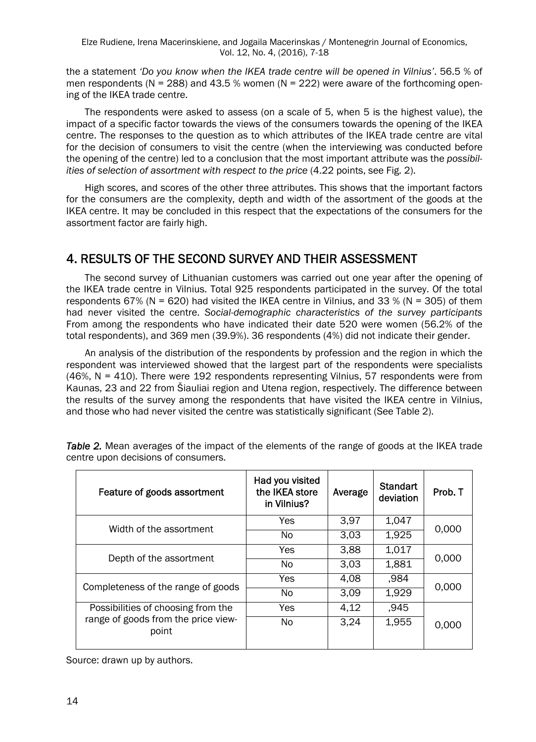Elze Rudiene, Irena Macerinskiene, and Jogaila Macerinskas / Montenegrin Journal of Economics, Vol. 12, No. 4, (2016), 7-18

the a statement *'Do you know when the IKEA trade centre will be opened in Vilnius'*. 56.5 % of men respondents ( $N = 288$ ) and 43.5 % women ( $N = 222$ ) were aware of the forthcoming opening of the IKEA trade centre.

The respondents were asked to assess (on a scale of 5, when 5 is the highest value), the impact of a specific factor towards the views of the consumers towards the opening of the IKEA centre. The responses to the question as to which attributes of the IKEA trade centre are vital for the decision of consumers to visit the centre (when the interviewing was conducted before the opening of the centre) led to a conclusion that the most important attribute was the *possibilities of selection of assortment with respect to the price* (4.22 points, see Fig. 2).

High scores, and scores of the other three attributes. This shows that the important factors for the consumers are the complexity, depth and width of the assortment of the goods at the IKEA centre. It may be concluded in this respect that the expectations of the consumers for the assortment factor are fairly high.

## 4. RESULTS OF THE SECOND SURVEY AND THEIR ASSESSMENT

The second survey of Lithuanian customers was carried out one year after the opening of the IKEA trade centre in Vilnius. Total 925 respondents participated in the survey. Of the total respondents 67% (N = 620) had visited the IKEA centre in Vilnius, and 33 % (N = 305) of them had never visited the centre. *Social-demographic characteristics of the survey participants*  From among the respondents who have indicated their date 520 were women (56.2% of the total respondents), and 369 men (39.9%). 36 respondents (4%) did not indicate their gender.

An analysis of the distribution of the respondents by profession and the region in which the respondent was interviewed showed that the largest part of the respondents were specialists (46%, N = 410). There were 192 respondents representing Vilnius, 57 respondents were from Kaunas, 23 and 22 from Šiauliai region and Utena region, respectively. The difference between the results of the survey among the respondents that have visited the IKEA centre in Vilnius, and those who had never visited the centre was statistically significant (See Table 2).

| Feature of goods assortment                  | Had you visited<br>the IKEA store<br>in Vilnius? | Average | <b>Standart</b><br>deviation | Prob. T |  |
|----------------------------------------------|--------------------------------------------------|---------|------------------------------|---------|--|
| Width of the assortment                      | Yes                                              | 3,97    | 1,047                        | 0,000   |  |
|                                              | No.                                              | 3,03    | 1,925                        |         |  |
|                                              | Yes                                              | 3,88    | 1,017                        |         |  |
| Depth of the assortment                      | No.                                              | 3,03    | 1,881                        | 0,000   |  |
|                                              | Yes                                              | 4,08    | ,984                         | 0,000   |  |
| Completeness of the range of goods           | No                                               | 3,09    | 1,929                        |         |  |
| Possibilities of choosing from the           | Yes                                              | 4,12    | ,945                         |         |  |
| range of goods from the price view-<br>point | <b>No</b>                                        | 3,24    | 1,955                        | 0,000   |  |

**Table 2.** Mean averages of the impact of the elements of the range of goods at the IKEA trade centre upon decisions of consumers.

Source: drawn up by authors.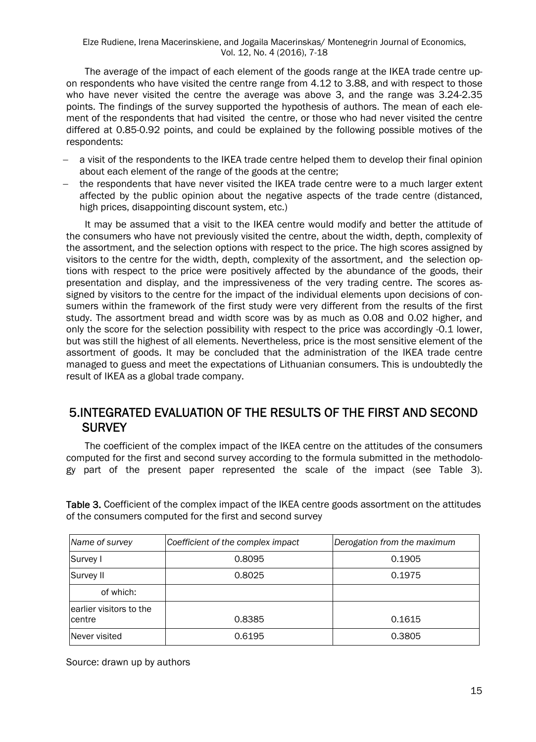The average of the impact of each element of the goods range at the IKEA trade centre upon respondents who have visited the centre range from 4.12 to 3.88, and with respect to those who have never visited the centre the average was above 3, and the range was 3.24-2.35 points. The findings of the survey supported the hypothesis of authors. The mean of each element of the respondents that had visited the centre, or those who had never visited the centre differed at 0.85-0.92 points, and could be explained by the following possible motives of the respondents:

- a visit of the respondents to the IKEA trade centre helped them to develop their final opinion about each element of the range of the goods at the centre;
- $-$  the respondents that have never visited the IKEA trade centre were to a much larger extent affected by the public opinion about the negative aspects of the trade centre (distanced, high prices, disappointing discount system, etc.)

It may be assumed that a visit to the IKEA centre would modify and better the attitude of the consumers who have not previously visited the centre, about the width, depth, complexity of the assortment, and the selection options with respect to the price. The high scores assigned by visitors to the centre for the width, depth, complexity of the assortment, and the selection options with respect to the price were positively affected by the abundance of the goods, their presentation and display, and the impressiveness of the very trading centre. The scores assigned by visitors to the centre for the impact of the individual elements upon decisions of consumers within the framework of the first study were very different from the results of the first study. The assortment bread and width score was by as much as 0.08 and 0.02 higher, and only the score for the selection possibility with respect to the price was accordingly -0.1 lower, but was still the highest of all elements. Nevertheless, price is the most sensitive element of the assortment of goods. It may be concluded that the administration of the IKEA trade centre managed to guess and meet the expectations of Lithuanian consumers. This is undoubtedly the result of IKEA as a global trade company.

#### 5.INTEGRATED EVALUATION OF THE RESULTS OF THE FIRST AND SECOND **SURVEY**

The coefficient of the complex impact of the IKEA centre on the attitudes of the consumers computed for the first and second survey according to the formula submitted in the methodology part of the present paper represented the scale of the impact (see Table 3).

Table 3. Coefficient of the complex impact of the IKEA centre goods assortment on the attitudes of the consumers computed for the first and second survey

| Name of survey                     | Coefficient of the complex impact | Derogation from the maximum |
|------------------------------------|-----------------------------------|-----------------------------|
| Survey I                           | 0.8095                            | 0.1905                      |
| Survey II                          | 0.8025                            | 0.1975                      |
| of which:                          |                                   |                             |
| learlier visitors to the<br>centre | 0.8385                            | 0.1615                      |
| Never visited                      | 0.6195                            | 0.3805                      |

Source: drawn up by authors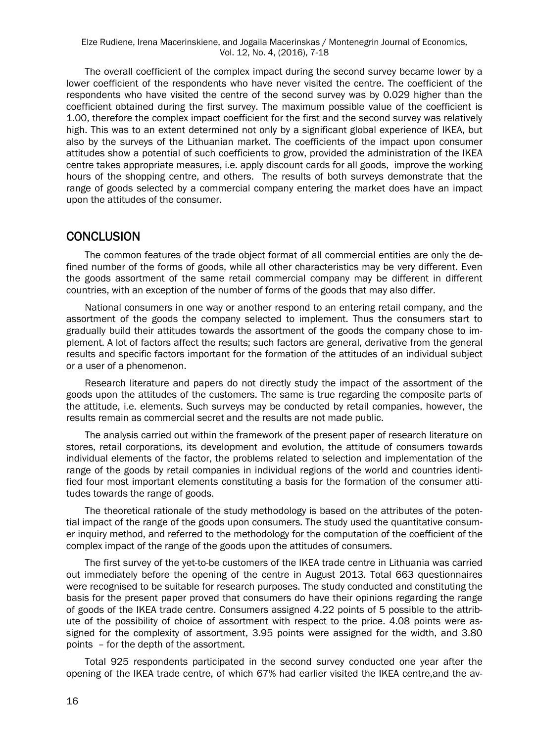The overall coefficient of the complex impact during the second survey became lower by a lower coefficient of the respondents who have never visited the centre. The coefficient of the respondents who have visited the centre of the second survey was by 0.029 higher than the coefficient obtained during the first survey. The maximum possible value of the coefficient is 1.00, therefore the complex impact coefficient for the first and the second survey was relatively high. This was to an extent determined not only by a significant global experience of IKEA, but also by the surveys of the Lithuanian market. The coefficients of the impact upon consumer attitudes show a potential of such coefficients to grow, provided the administration of the IKEA centre takes appropriate measures, i.e. apply discount cards for all goods, improve the working hours of the shopping centre, and others. The results of both surveys demonstrate that the range of goods selected by a commercial company entering the market does have an impact upon the attitudes of the consumer.

#### **CONCLUSION**

The common features of the trade object format of all commercial entities are only the defined number of the forms of goods, while all other characteristics may be very different. Even the goods assortment of the same retail commercial company may be different in different countries, with an exception of the number of forms of the goods that may also differ.

National consumers in one way or another respond to an entering retail company, and the assortment of the goods the company selected to implement. Thus the consumers start to gradually build their attitudes towards the assortment of the goods the company chose to implement. A lot of factors affect the results; such factors are general, derivative from the general results and specific factors important for the formation of the attitudes of an individual subject or a user of a phenomenon.

Research literature and papers do not directly study the impact of the assortment of the goods upon the attitudes of the customers. The same is true regarding the composite parts of the attitude, i.e. elements. Such surveys may be conducted by retail companies, however, the results remain as commercial secret and the results are not made public.

The analysis carried out within the framework of the present paper of research literature on stores, retail corporations, its development and evolution, the attitude of consumers towards individual elements of the factor, the problems related to selection and implementation of the range of the goods by retail companies in individual regions of the world and countries identified four most important elements constituting a basis for the formation of the consumer attitudes towards the range of goods.

The theoretical rationale of the study methodology is based on the attributes of the potential impact of the range of the goods upon consumers. The study used the quantitative consumer inquiry method, and referred to the methodology for the computation of the coefficient of the complex impact of the range of the goods upon the attitudes of consumers.

The first survey of the yet-to-be customers of the IKEA trade centre in Lithuania was carried out immediately before the opening of the centre in August 2013. Total 663 questionnaires were recognised to be suitable for research purposes. The study conducted and constituting the basis for the present paper proved that consumers do have their opinions regarding the range of goods of the IKEA trade centre. Consumers assigned 4.22 points of 5 possible to the attribute of the possibility of choice of assortment with respect to the price. 4.08 points were assigned for the complexity of assortment, 3.95 points were assigned for the width, and 3.80 points – for the depth of the assortment.

Total 925 respondents participated in the second survey conducted one year after the opening of the IKEA trade centre, of which 67% had earlier visited the IKEA centre,and the av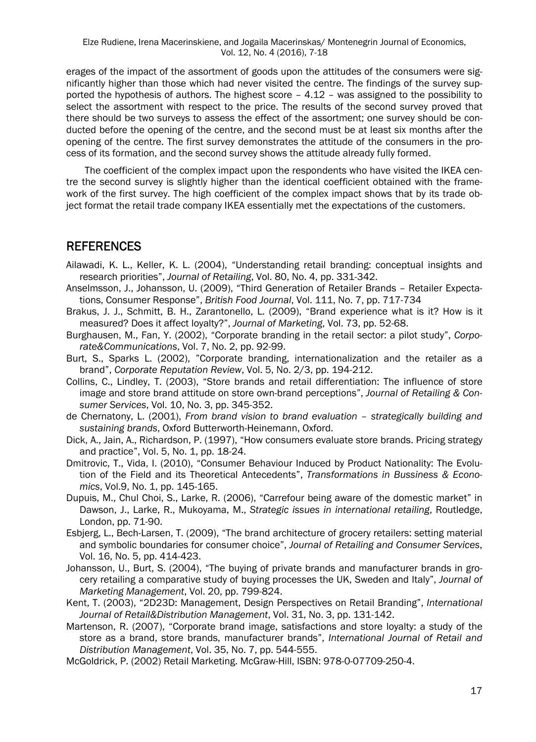erages of the impact of the assortment of goods upon the attitudes of the consumers were significantly higher than those which had never visited the centre. The findings of the survey supported the hypothesis of authors. The highest score – 4.12 – was assigned to the possibility to select the assortment with respect to the price. The results of the second survey proved that there should be two surveys to assess the effect of the assortment; one survey should be conducted before the opening of the centre, and the second must be at least six months after the opening of the centre. The first survey demonstrates the attitude of the consumers in the process of its formation, and the second survey shows the attitude already fully formed.

The coefficient of the complex impact upon the respondents who have visited the IKEA centre the second survey is slightly higher than the identical coefficient obtained with the framework of the first survey. The high coefficient of the complex impact shows that by its trade object format the retail trade company IKEA essentially met the expectations of the customers.

#### REFERENCES

- Ailawadi, K. L., Keller, K. L. (2004), "Understanding retail branding: conceptual insights and research priorities", *Journal of Retailing*, Vol. 80, No. 4, pp. 331-342.
- Anselmsson, J., Johansson, U. (2009), "Third Generation of Retailer Brands Retailer Expectations, Consumer Response", *British Food Journal*, Vol. 111, No. 7, pp. 717-734
- Brakus, J. J., Schmitt, B. H., Zarantonello, L. (2009), "Brand experience what is it? How is it measured? Does it affect loyalty?", *Journal of Marketing*, Vol. 73, pp. 52-68.
- Burghausen, M., Fan, Y. (2002), "Corporate branding in the retail sector: a pilot study", *Corporate&Communications*, Vol. 7, No. 2, pp. 92-99.
- Burt, S., Sparks L. (2002), "Corporate branding, internationalization and the retailer as a brand", *Corporate Reputation Review*, Vol. 5, No. 2/3, pp. 194-212.
- Collins, C., Lindley, T. (2003), "Store brands and retail differentiation: The influence of store image and store brand attitude on store own-brand perceptions", *Journal of Retailing & Consumer Services*, Vol. 10, No. 3, pp. 345-352.
- de Chernatony, L. (2001), *From brand vision to brand evaluation strategically building and sustaining brands*, Oxford Butterworth-Heinemann, Oxford.
- Dick, A., Jain, A., Richardson, P. (1997), "How consumers evaluate store brands. Pricing strategy and practice", Vol. 5, No. 1, pp. 18-24.
- Dmitrovic, T., Vida, I. (2010), "Consumer Behaviour Induced by Product Nationality: The Evolution of the Field and its Theoretical Antecedents", *Transformations in Bussiness & Economics*, Vol.9, No. 1, pp. 145-165.
- Dupuis, M., Chul Choi, S., Larke, R. (2006), "Carrefour being aware of the domestic market" in Dawson, J., Larke, R., Mukoyama, M., *Strategic issues in international retailing*, Routledge, London, pp. 71-90.
- Esbjerg, L., Bech-Larsen, T. (2009), "The brand architecture of grocery retailers: setting material and symbolic boundaries for consumer choice", *Journal of Retailing and Consumer Services*, Vol. 16, No. 5, pp. 414-423.
- Johansson, U., Burt, S. (2004), "The buying of private brands and manufacturer brands in grocery retailing a comparative study of buying processes the UK, Sweden and Italy", *Journal of Marketing Management*, Vol. 20, pp. 799-824.
- Kent, T. (2003), "2D23D: Management, Design Perspectives on Retail Branding", *International Journal of Retail&Distribution Management*, Vol. 31, No. 3, pp. 131-142.
- Martenson, R. (2007), "Corporate brand image, satisfactions and store loyalty: a study of the store as a brand, store brands, manufacturer brands", *International Journal of Retail and Distribution Management*, Vol. 35, No. 7, pp. 544-555.
- McGoldrick, P. (2002) Retail Marketing. McGraw-Hill, ISBN: 978-0-07709-250-4.